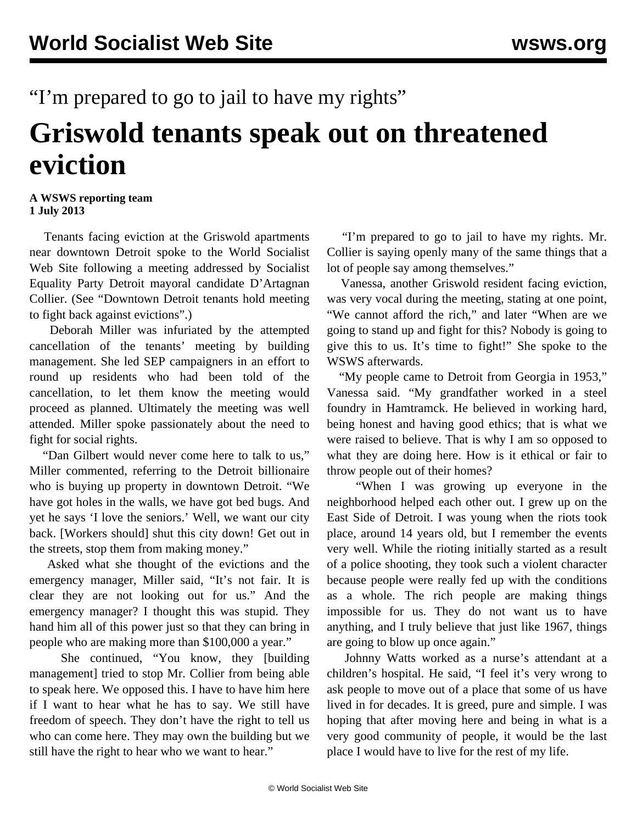## "I'm prepared to go to jail to have my rights"

## **Griswold tenants speak out on threatened eviction**

## **A WSWS reporting team 1 July 2013**

 Tenants facing eviction at the Griswold apartments near downtown Detroit spoke to the World Socialist Web Site following a meeting addressed by Socialist Equality Party Detroit mayoral candidate D'Artagnan Collier. (See ["Downtown Detroit tenants hold meeting](/en/articles/2013/07/01/gris-j01.html) [to fight back against evictions".](/en/articles/2013/07/01/gris-j01.html))

 Deborah Miller was infuriated by the attempted cancellation of the tenants' meeting by building management. She led SEP campaigners in an effort to round up residents who had been told of the cancellation, to let them know the meeting would proceed as planned. Ultimately the meeting was well attended. Miller spoke passionately about the need to fight for social rights.

 "Dan Gilbert would never come here to talk to us," Miller commented, referring to the Detroit billionaire who is buying up property in downtown Detroit. "We have got holes in the walls, we have got bed bugs. And yet he says 'I love the seniors.' Well, we want our city back. [Workers should] shut this city down! Get out in the streets, stop them from making money."

 Asked what she thought of the evictions and the emergency manager, Miller said, "It's not fair. It is clear they are not looking out for us." And the emergency manager? I thought this was stupid. They hand him all of this power just so that they can bring in people who are making more than \$100,000 a year."

 She continued, "You know, they [building management] tried to stop Mr. Collier from being able to speak here. We opposed this. I have to have him here if I want to hear what he has to say. We still have freedom of speech. They don't have the right to tell us who can come here. They may own the building but we still have the right to hear who we want to hear."

 "I'm prepared to go to jail to have my rights. Mr. Collier is saying openly many of the same things that a lot of people say among themselves."

 Vanessa, another Griswold resident facing eviction, was very vocal during the meeting, stating at one point, "We cannot afford the rich," and later "When are we going to stand up and fight for this? Nobody is going to give this to us. It's time to fight!" She spoke to the WSWS afterwards.

 "My people came to Detroit from Georgia in 1953," Vanessa said. "My grandfather worked in a steel foundry in Hamtramck. He believed in working hard, being honest and having good ethics; that is what we were raised to believe. That is why I am so opposed to what they are doing here. How is it ethical or fair to throw people out of their homes?

 "When I was growing up everyone in the neighborhood helped each other out. I grew up on the East Side of Detroit. I was young when the riots took place, around 14 years old, but I remember the events very well. While the rioting initially started as a result of a police shooting, they took such a violent character because people were really fed up with the conditions as a whole. The rich people are making things impossible for us. They do not want us to have anything, and I truly believe that just like 1967, things are going to blow up once again."

 Johnny Watts worked as a nurse's attendant at a children's hospital. He said, "I feel it's very wrong to ask people to move out of a place that some of us have lived in for decades. It is greed, pure and simple. I was hoping that after moving here and being in what is a very good community of people, it would be the last place I would have to live for the rest of my life.